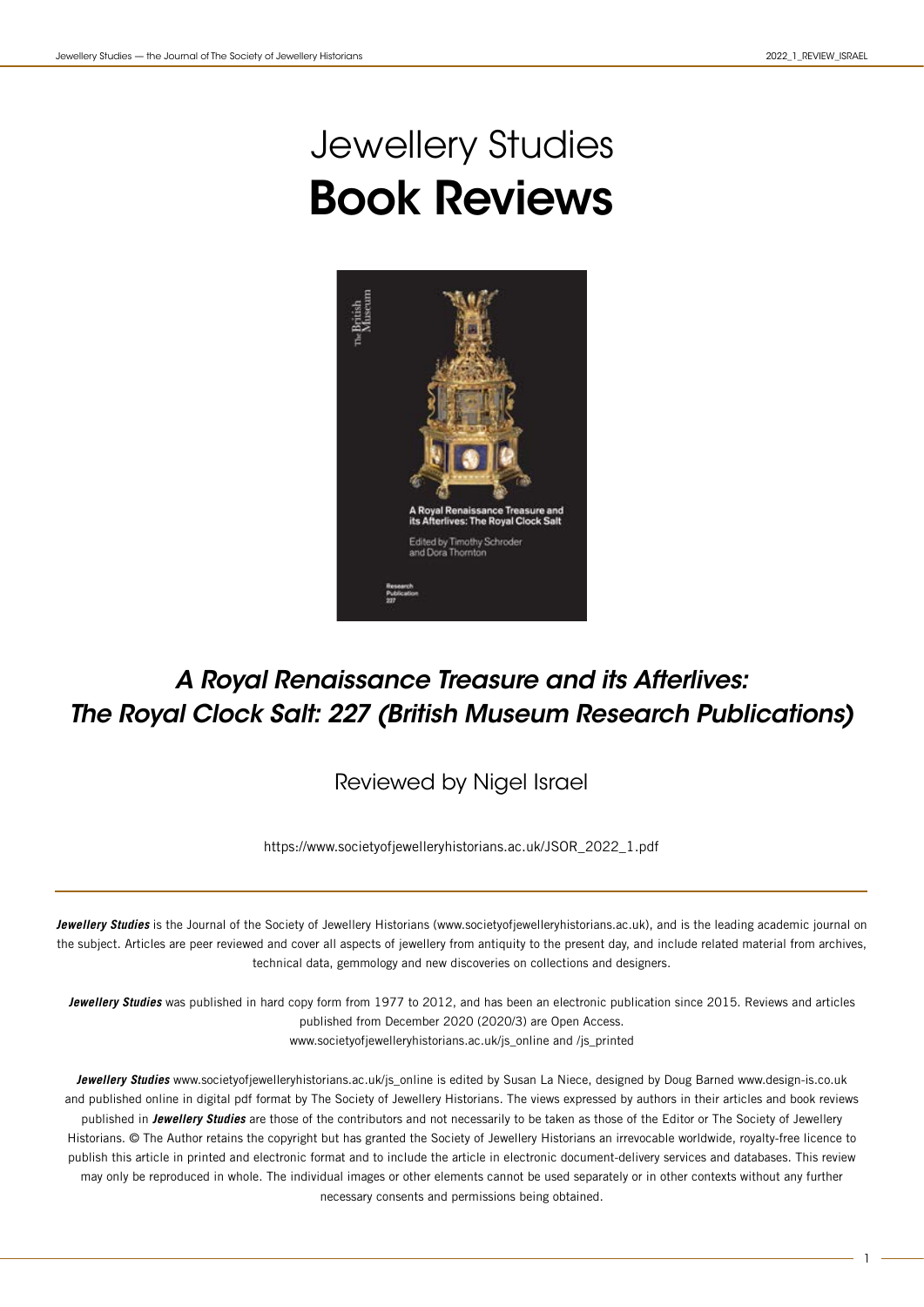## Jewellery Studies Book Reviews



## *A Royal Renaissance Treasure and its Afterlives: The Royal Clock Salt: 227 (British Museum Research Publications)*

Reviewed by Nigel Israel

https://www.societyofjewelleryhistorians.ac.uk/JSOR\_2022\_1.pdf

**Jewellery Studies** is the Journal of the Society of Jewellery Historians (www.societyofjewelleryhistorians.ac.uk), and is the leading academic journal on the subject. Articles are peer reviewed and cover all aspects of jewellery from antiquity to the present day, and include related material from archives, technical data, gemmology and new discoveries on collections and designers.

**Jewellery Studies** was published in hard copy form from 1977 to 2012, and has been an electronic publication since 2015. Reviews and articles published from December 2020 (2020/3) are Open Access. www.societyofjewelleryhistorians.ac.uk/js\_online and /js\_printed

**Jewellery Studies** www.societyofjewelleryhistorians.ac.uk/js\_online is edited by Susan La Niece, designed by Doug Barned www.design-is.co.uk and published online in digital pdf format by The Society of Jewellery Historians. The views expressed by authors in their articles and book reviews published in **Jewellery Studies** are those of the contributors and not necessarily to be taken as those of the Editor or The Society of Jewellery Historians. © The Author retains the copyright but has granted the Society of Jewellery Historians an irrevocable worldwide, royalty-free licence to publish this article in printed and electronic format and to include the article in electronic document-delivery services and databases. This review may only be reproduced in whole. The individual images or other elements cannot be used separately or in other contexts without any further necessary consents and permissions being obtained.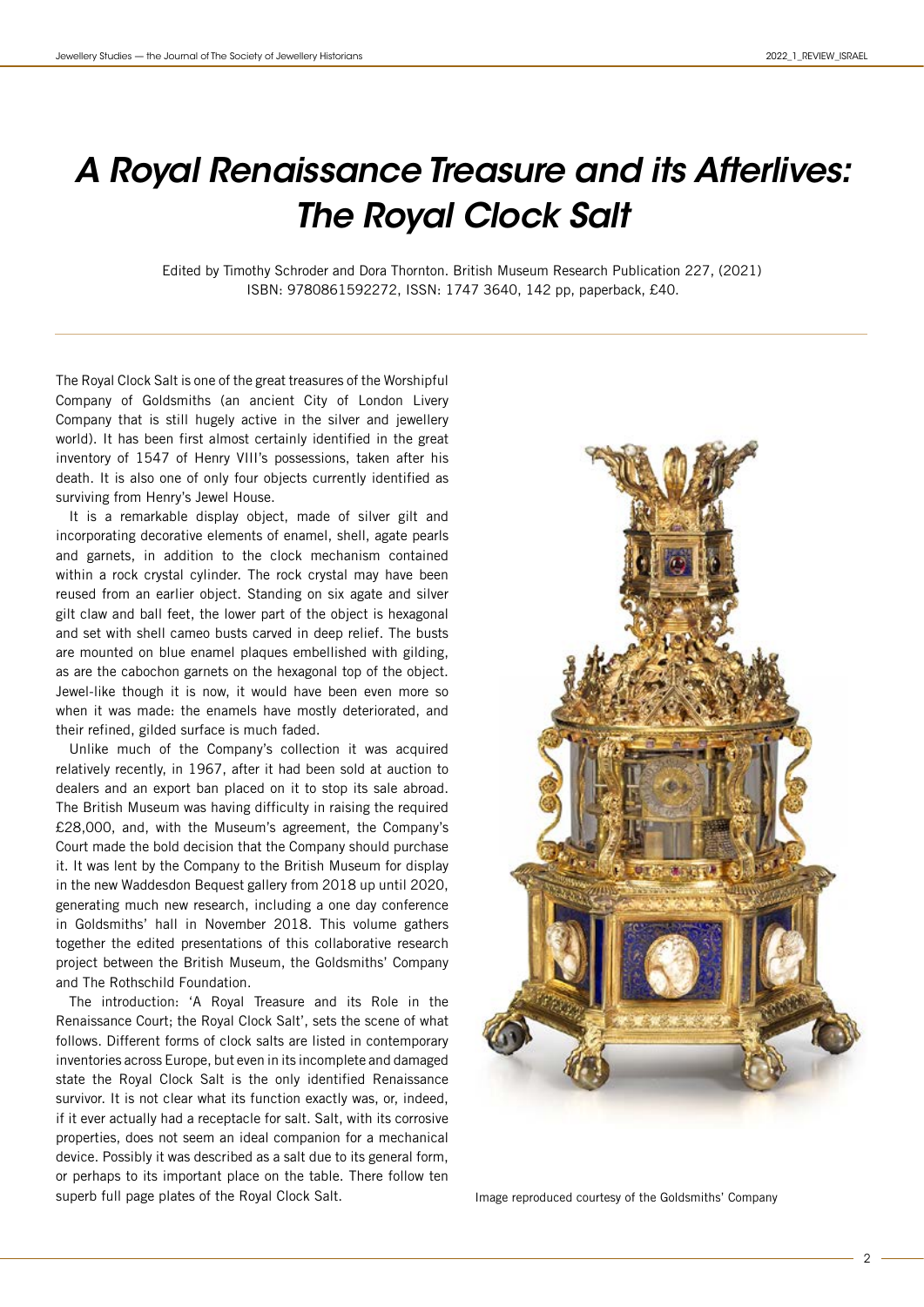## *A Royal Renaissance Treasure and its Afterlives: The Royal Clock Salt*

Edited by Timothy Schroder and Dora Thornton. British Museum Research Publication 227, (2021) ISBN: 9780861592272, ISSN: 1747 3640, 142 pp, paperback, £40.

The Royal Clock Salt is one of the great treasures of the Worshipful Company of Goldsmiths (an ancient City of London Livery Company that is still hugely active in the silver and jewellery world). It has been first almost certainly identified in the great inventory of 1547 of Henry VIII's possessions, taken after his death. It is also one of only four objects currently identified as surviving from Henry's Jewel House.

It is a remarkable display object, made of silver gilt and incorporating decorative elements of enamel, shell, agate pearls and garnets, in addition to the clock mechanism contained within a rock crystal cylinder. The rock crystal may have been reused from an earlier object. Standing on six agate and silver gilt claw and ball feet, the lower part of the object is hexagonal and set with shell cameo busts carved in deep relief. The busts are mounted on blue enamel plaques embellished with gilding, as are the cabochon garnets on the hexagonal top of the object. Jewel-like though it is now, it would have been even more so when it was made: the enamels have mostly deteriorated, and their refined, gilded surface is much faded.

Unlike much of the Company's collection it was acquired relatively recently, in 1967, after it had been sold at auction to dealers and an export ban placed on it to stop its sale abroad. The British Museum was having difficulty in raising the required £28,000, and, with the Museum's agreement, the Company's Court made the bold decision that the Company should purchase it. It was lent by the Company to the British Museum for display in the new Waddesdon Bequest gallery from 2018 up until 2020, generating much new research, including a one day conference in Goldsmiths' hall in November 2018. This volume gathers together the edited presentations of this collaborative research project between the British Museum, the Goldsmiths' Company and The Rothschild Foundation.

The introduction: 'A Royal Treasure and its Role in the Renaissance Court; the Royal Clock Salt', sets the scene of what follows. Different forms of clock salts are listed in contemporary inventories across Europe, but even in its incomplete and damaged state the Royal Clock Salt is the only identified Renaissance survivor. It is not clear what its function exactly was, or, indeed, if it ever actually had a receptacle for salt. Salt, with its corrosive properties, does not seem an ideal companion for a mechanical device. Possibly it was described as a salt due to its general form, or perhaps to its important place on the table. There follow ten superb full page plates of the Royal Clock Salt. In a limage reproduced courtesy of the Goldsmiths' Company

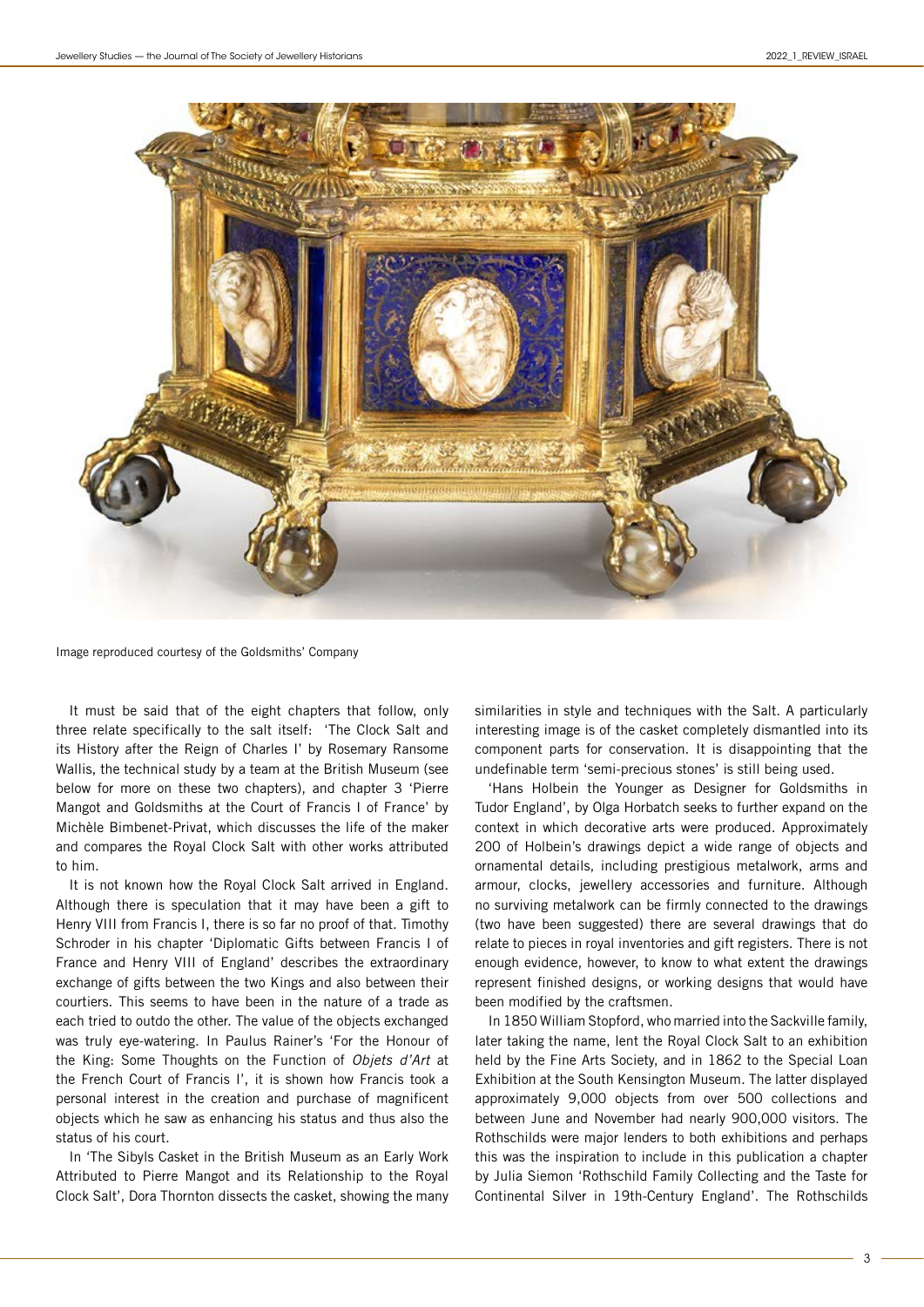

Image reproduced courtesy of the Goldsmiths' Company

It must be said that of the eight chapters that follow, only three relate specifically to the salt itself: 'The Clock Salt and its History after the Reign of Charles I' by Rosemary Ransome Wallis, the technical study by a team at the British Museum (see below for more on these two chapters), and chapter 3 'Pierre Mangot and Goldsmiths at the Court of Francis I of France' by Michèle Bimbenet-Privat, which discusses the life of the maker and compares the Royal Clock Salt with other works attributed to him.

It is not known how the Royal Clock Salt arrived in England. Although there is speculation that it may have been a gift to Henry VIII from Francis I, there is so far no proof of that. Timothy Schroder in his chapter 'Diplomatic Gifts between Francis I of France and Henry VIII of England' describes the extraordinary exchange of gifts between the two Kings and also between their courtiers. This seems to have been in the nature of a trade as each tried to outdo the other. The value of the objects exchanged was truly eye-watering. In Paulus Rainer's 'For the Honour of the King: Some Thoughts on the Function of Objets d'Art at the French Court of Francis I', it is shown how Francis took a personal interest in the creation and purchase of magnificent objects which he saw as enhancing his status and thus also the status of his court.

In 'The Sibyls Casket in the British Museum as an Early Work Attributed to Pierre Mangot and its Relationship to the Royal Clock Salt', Dora Thornton dissects the casket, showing the many similarities in style and techniques with the Salt. A particularly interesting image is of the casket completely dismantled into its component parts for conservation. It is disappointing that the undefinable term 'semi-precious stones' is still being used.

'Hans Holbein the Younger as Designer for Goldsmiths in Tudor England', by Olga Horbatch seeks to further expand on the context in which decorative arts were produced. Approximately 200 of Holbein's drawings depict a wide range of objects and ornamental details, including prestigious metalwork, arms and armour, clocks, jewellery accessories and furniture. Although no surviving metalwork can be firmly connected to the drawings (two have been suggested) there are several drawings that do relate to pieces in royal inventories and gift registers. There is not enough evidence, however, to know to what extent the drawings represent finished designs, or working designs that would have been modified by the craftsmen.

In 1850 William Stopford, who married into the Sackville family, later taking the name, lent the Royal Clock Salt to an exhibition held by the Fine Arts Society, and in 1862 to the Special Loan Exhibition at the South Kensington Museum. The latter displayed approximately 9,000 objects from over 500 collections and between June and November had nearly 900,000 visitors. The Rothschilds were major lenders to both exhibitions and perhaps this was the inspiration to include in this publication a chapter by Julia Siemon 'Rothschild Family Collecting and the Taste for Continental Silver in 19th-Century England'. The Rothschilds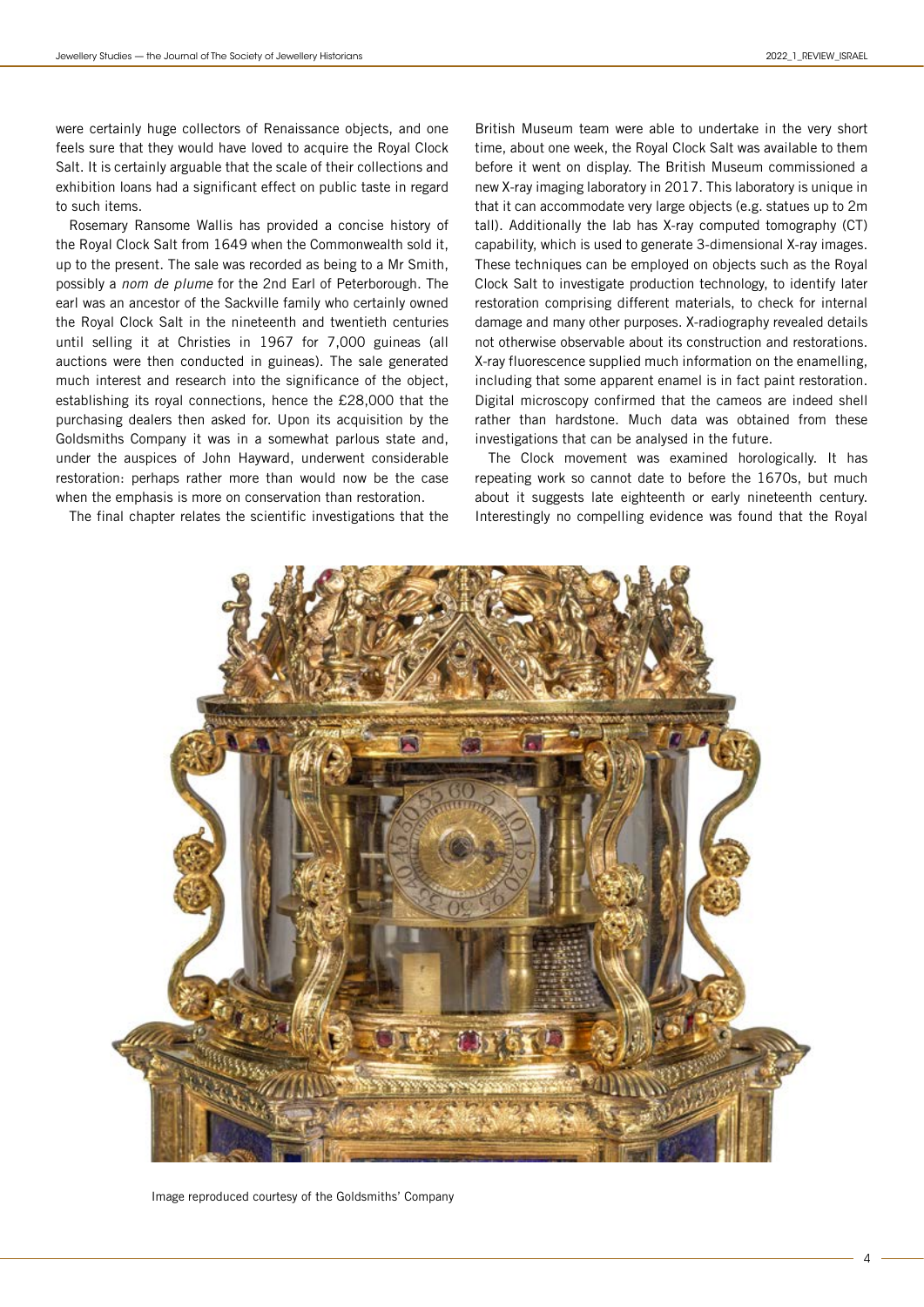were certainly huge collectors of Renaissance objects, and one feels sure that they would have loved to acquire the Royal Clock Salt. It is certainly arguable that the scale of their collections and exhibition loans had a significant effect on public taste in regard to such items.

Rosemary Ransome Wallis has provided a concise history of the Royal Clock Salt from 1649 when the Commonwealth sold it, up to the present. The sale was recorded as being to a Mr Smith, possibly a nom de plume for the 2nd Earl of Peterborough. The earl was an ancestor of the Sackville family who certainly owned the Royal Clock Salt in the nineteenth and twentieth centuries until selling it at Christies in 1967 for 7,000 guineas (all auctions were then conducted in guineas). The sale generated much interest and research into the significance of the object, establishing its royal connections, hence the £28,000 that the purchasing dealers then asked for. Upon its acquisition by the Goldsmiths Company it was in a somewhat parlous state and, under the auspices of John Hayward, underwent considerable restoration: perhaps rather more than would now be the case when the emphasis is more on conservation than restoration.

The final chapter relates the scientific investigations that the

British Museum team were able to undertake in the very short time, about one week, the Royal Clock Salt was available to them before it went on display. The British Museum commissioned a new X-ray imaging laboratory in 2017. This laboratory is unique in that it can accommodate very large objects (e.g. statues up to 2m tall). Additionally the lab has X-ray computed tomography (CT) capability, which is used to generate 3-dimensional X-ray images. These techniques can be employed on objects such as the Royal Clock Salt to investigate production technology, to identify later restoration comprising different materials, to check for internal damage and many other purposes. X-radiography revealed details not otherwise observable about its construction and restorations. X-ray fluorescence supplied much information on the enamelling, including that some apparent enamel is in fact paint restoration. Digital microscopy confirmed that the cameos are indeed shell rather than hardstone. Much data was obtained from these investigations that can be analysed in the future.

The Clock movement was examined horologically. It has repeating work so cannot date to before the 1670s, but much about it suggests late eighteenth or early nineteenth century. Interestingly no compelling evidence was found that the Royal



Image reproduced courtesy of the Goldsmiths' Company